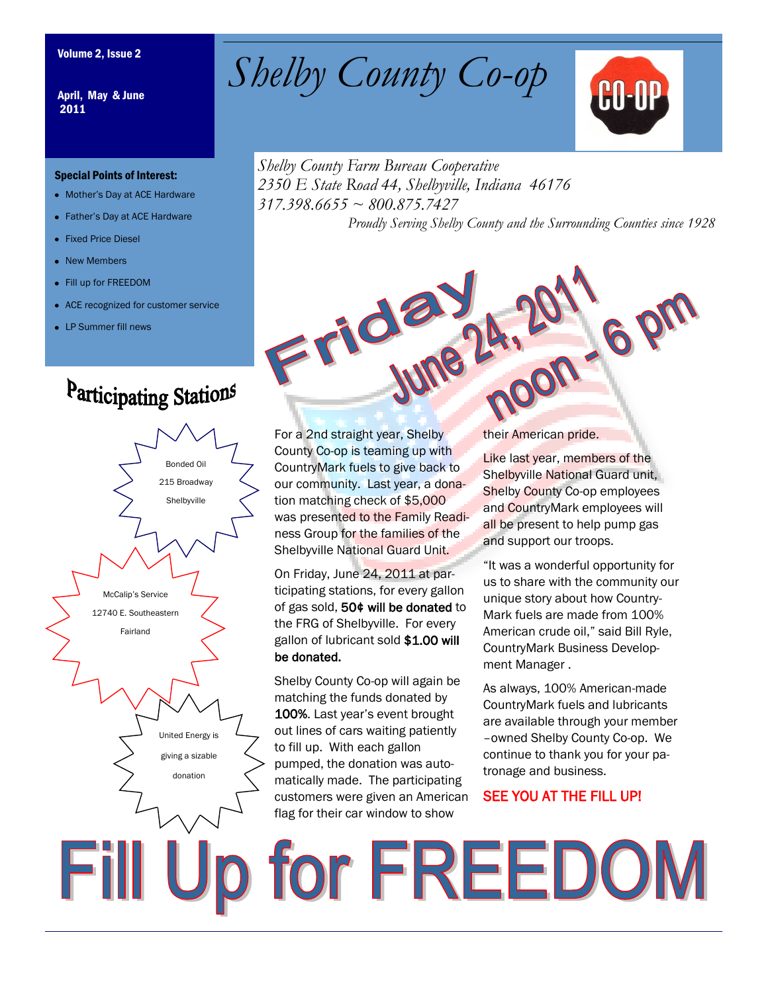April, May & June 2011

#### Special Points of Interest:

- Mother's Day at ACE Hardware
- Father's Day at ACE Hardware
- Fixed Price Diesel
- New Members
- Fill up for FREEDOM
- ACE recognized for customer service
- LP Summer fill news

## Participating Stations



Volume 2, Issue 2 *Shelby County Co-op* 



*Shelby County Farm Bureau Cooperative 2350 E State Road 44, Shelbyville, Indiana 46176 317.398.6655 ~ 800.875.7427 Proudly Serving Shelby County and the Surrounding Counties since 1928*

For a 2nd straight year, Shelby County Co-op is teaming up with CountryMark fuels to give back to our community. Last year, a donation matching check of \$5,000 was presented to the Family Readiness Group for the families of the Shelbyville National Guard Unit.

Frida

On Friday, June 24, 2011 at participating stations, for every gallon of gas sold, 50¢ will be donated to the FRG of Shelbyville. For every gallon of lubricant sold \$1.00 will be donated.

Shelby County Co-op will again be matching the funds donated by 100%. Last year's event brought out lines of cars waiting patiently to fill up. With each gallon pumped, the donation was automatically made. The participating customers were given an American flag for their car window to show

their American pride.

Like last year, members of the Shelbyville National Guard unit, Shelby County Co-op employees and CountryMark employees will all be present to help pump gas and support our troops.

**Pon - 6** 

"It was a wonderful opportunity for us to share with the community our unique story about how Country-Mark fuels are made from 100% American crude oil," said Bill Ryle, CountryMark Business Development Manager .

As always, 100% American-made CountryMark fuels and lubricants are available through your member –owned Shelby County Co-op. We continue to thank you for your patronage and business.

### SEE YOU AT THE FILL UP!

Fill Up for FREEDOM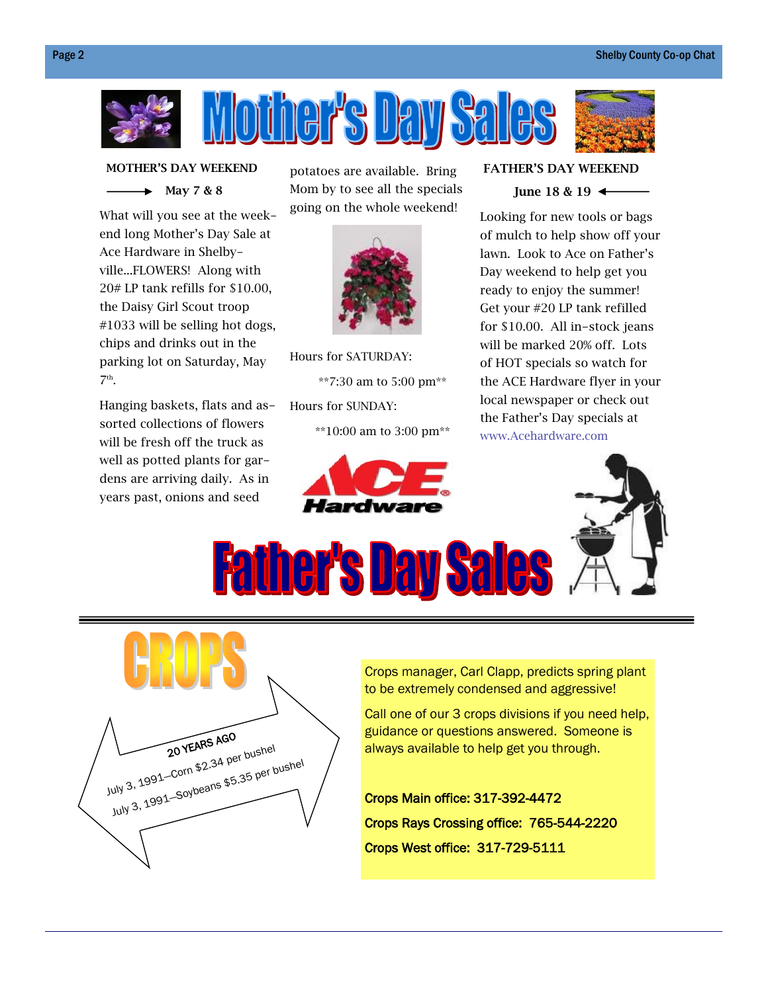

 **MOTHER'S DAY WEEKEND**

 $\rightarrow$  May 7 & 8

What will you see at the weekend long Mother's Day Sale at Ace Hardware in Shelbyville...FLOWERS! Along with 20# LP tank refills for \$10.00, the Daisy Girl Scout troop #1033 will be selling hot dogs, chips and drinks out in the parking lot on Saturday, May  $7<sup>th</sup>$ .

Hanging baskets, flats and assorted collections of flowers will be fresh off the truck as well as potted plants for gardens are arriving daily. As in years past, onions and seed

potatoes are available. Bring Mom by to see all the specials going on the whole weekend!



Hours for SATURDAY:

\*\*7:30 am to 5:00 pm\*\* Hours for SUNDAY:

\*\*10:00 am to 3:00 pm\*\*



#### **FATHER'S DAY WEEKEND**



Looking for new tools or bags of mulch to help show off your lawn. Look to Ace on Father's Day weekend to help get you ready to enjoy the summer! Get your #20 LP tank refilled for \$10.00. All in-stock jeans will be marked 20% off. Lots of HOT specials so watch for the ACE Hardware flyer in your local newspaper or check out the Father's Day specials at www.Acehardware.com



**Father's Day Sales** 



Crops manager, Carl Clapp, predicts spring plant to be extremely condensed and aggressive!

Call one of our 3 crops divisions if you need help, guidance or questions answered. Someone is always available to help get you through.

Crops Main office: 317-392-4472 Crops Rays Crossing office: 765-544-2220 Crops West office: 317-729-5111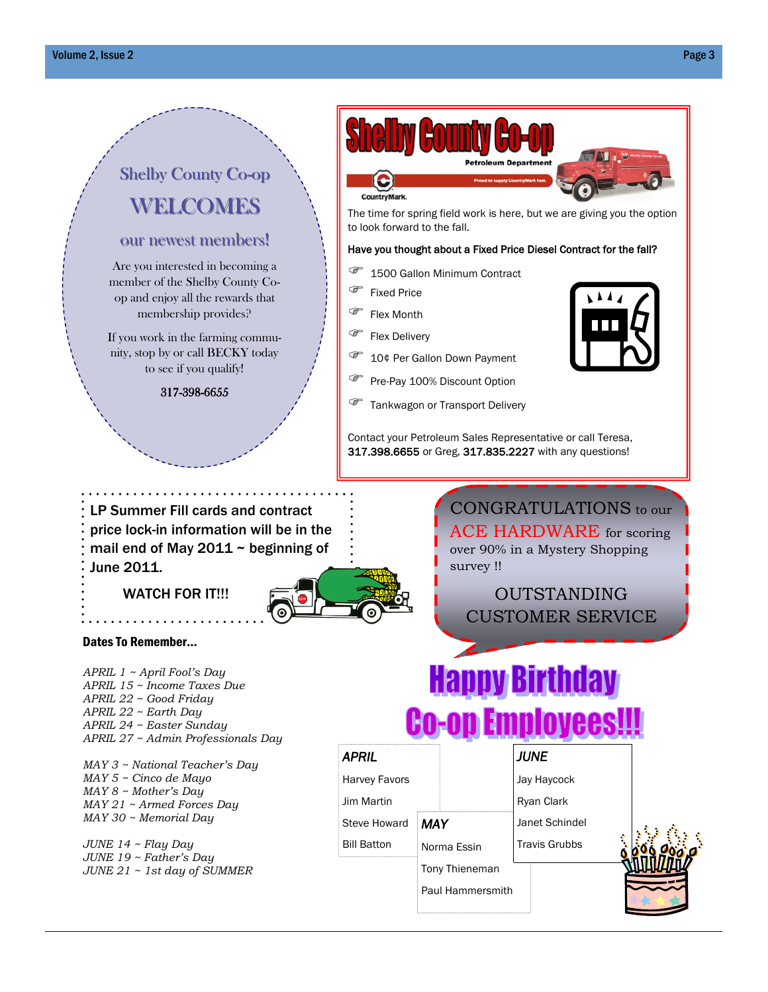## Shelby County Co-op WELCOMES

#### our newest members!

Are you interested in becoming a member of the Shelby County Coop and enjoy all the rewards that membership provides?

If you work in the farming community, stop by or call BECKY today to see if you qualify!

317-398-6655



The time for spring field work is here, but we are giving you the option to look forward to the fall.

#### Have you thought about a Fixed Price Diesel Contract for the fall?

- **1500 Gallon Minimum Contract**
- Fixed Price
- **Flex Month**
- Flex Delivery
- <sup><sup>7</sup> 10¢ Per Gallon Down Payment</sup>
- Pre-Pay 100% Discount Option
- **Tankwagon or Transport Delivery**

Contact your Petroleum Sales Representative or call Teresa, 317.398.6655 or Greg, 317.835.2227 with any questions!

LP Summer Fill cards and contract price lock-in information will be in the mail end of May 2011  $\sim$  beginning of June 2011.

### WATCH FOR IT!!!

Dates To Remember...

*APRIL 1 ~ April Fool's Day APRIL 15 ~ Income Taxes Due APRIL 22 ~ Good Friday APRIL 22 ~ Earth Day APRIL 24 ~ Easter Sunday*



CONGRATULATIONS to our ACE HARDWARE for scoring over 90% in a Mystery Shopping survey !!

OUTSTANDING CUSTOMER SERVICE

# **Happy Birthday Co-op Employees!**

*MAY 3 ~ National Teacher's Day MAY 5 ~ Cinco de Mayo MAY 8 ~ Mother's Day MAY 21 ~ Armed Forces Day MAY 30 ~ Memorial Day*

*APRIL 27 ~ Admin Professionals Day*

*JUNE 14 ~ Flay Day JUNE 19 ~ Father's Day JUNE 21 ~ 1st day of SUMMER*

| <b>APRIL</b>         |                         | <i><b>JUNE</b></i>   |  |
|----------------------|-------------------------|----------------------|--|
| <b>Harvey Favors</b> |                         | Jay Haycock          |  |
| Jim Martin           |                         | Ryan Clark           |  |
| <b>Steve Howard</b>  | <b>MAY</b>              | Janet Schindel       |  |
| <b>Bill Batton</b>   | Norma Essin             | <b>Travis Grubbs</b> |  |
|                      | Tony Thieneman          |                      |  |
|                      | <b>Paul Hammersmith</b> |                      |  |
|                      |                         |                      |  |